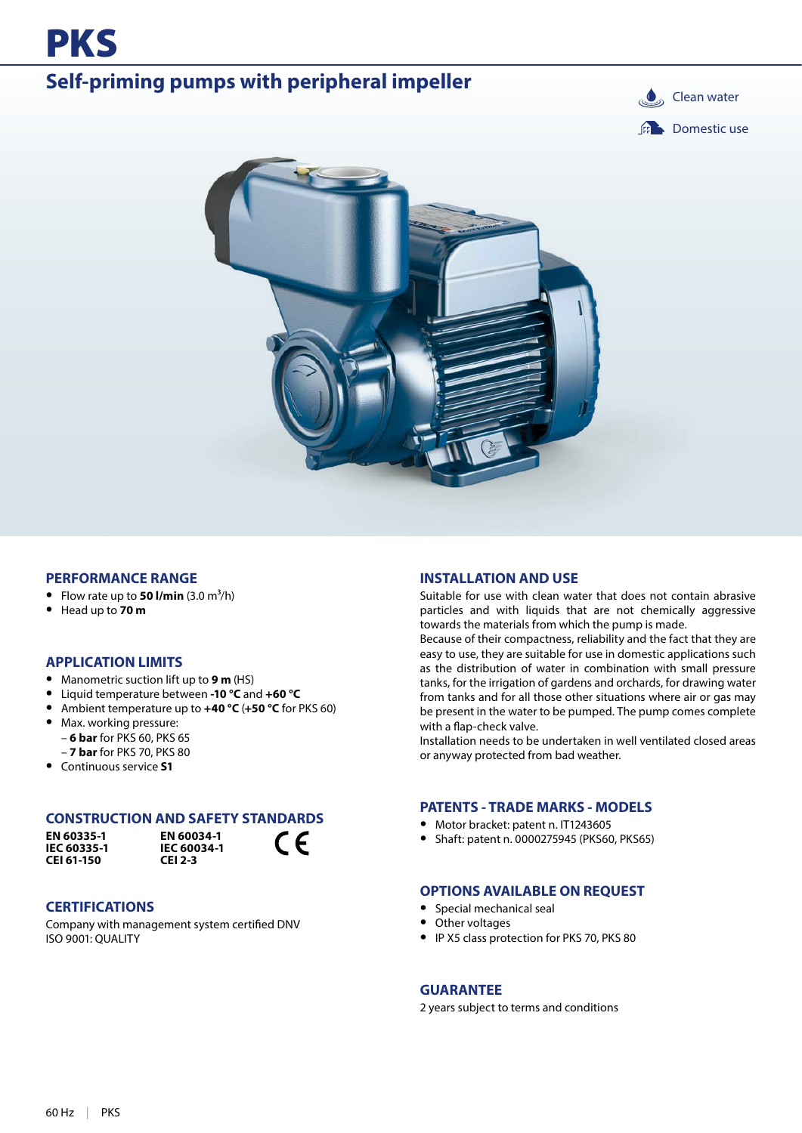

## **Self-priming pumps with peripheral impeller Clean water Clean water**





#### **PERFORMANCE RANGE**

- Flow rate up to **50 l/min**  $(3.0 \text{ m}^3/\text{h})$
- **•** Head up to **70 m**

#### **APPLICATION LIMITS**

- **•** Manometric suction lift up to **9 m** (HS)
- **•** Liquid temperature between **-10 °C** and **+60 °C**
- **•** Ambient temperature up to **+40 °C** (**+50 °C** for PKS 60)
- **•** Max. working pressure: – **6 bar** for PKS 60, PKS 65
- **7 bar** for PKS 70, PKS 80 **•** Continuous service **S1**

#### **CONSTRUCTION AND SAFETY STANDARDS**

**EN 60335-1 IEC 60335-1 CEI 61-150**



 $\epsilon$ 

#### **CERTIFICATIONS**

Company with management system certified DNV ISO 9001: QUALITY

#### **INSTALLATION AND USE**

Suitable for use with clean water that does not contain abrasive particles and with liquids that are not chemically aggressive towards the materials from which the pump is made.

Because of their compactness, reliability and the fact that they are easy to use, they are suitable for use in domestic applications such as the distribution of water in combination with small pressure tanks, for the irrigation of gardens and orchards, for drawing water from tanks and for all those other situations where air or gas may be present in the water to be pumped. The pump comes complete with a flap-check valve.

Installation needs to be undertaken in well ventilated closed areas or anyway protected from bad weather.

#### **PATENTS - TRADE MARKS - MODELS**

- **•** Motor bracket: patent n. IT1243605
- **•** Shaft: patent n. 0000275945 (PKS60, PKS65)

#### **OPTIONS AVAILABLE ON REQUEST**

- **•** Special mechanical seal
- **•** Other voltages
- **•** IP X5 class protection for PKS 70, PKS 80

#### **GUARANTEE**

2 years subject to terms and conditions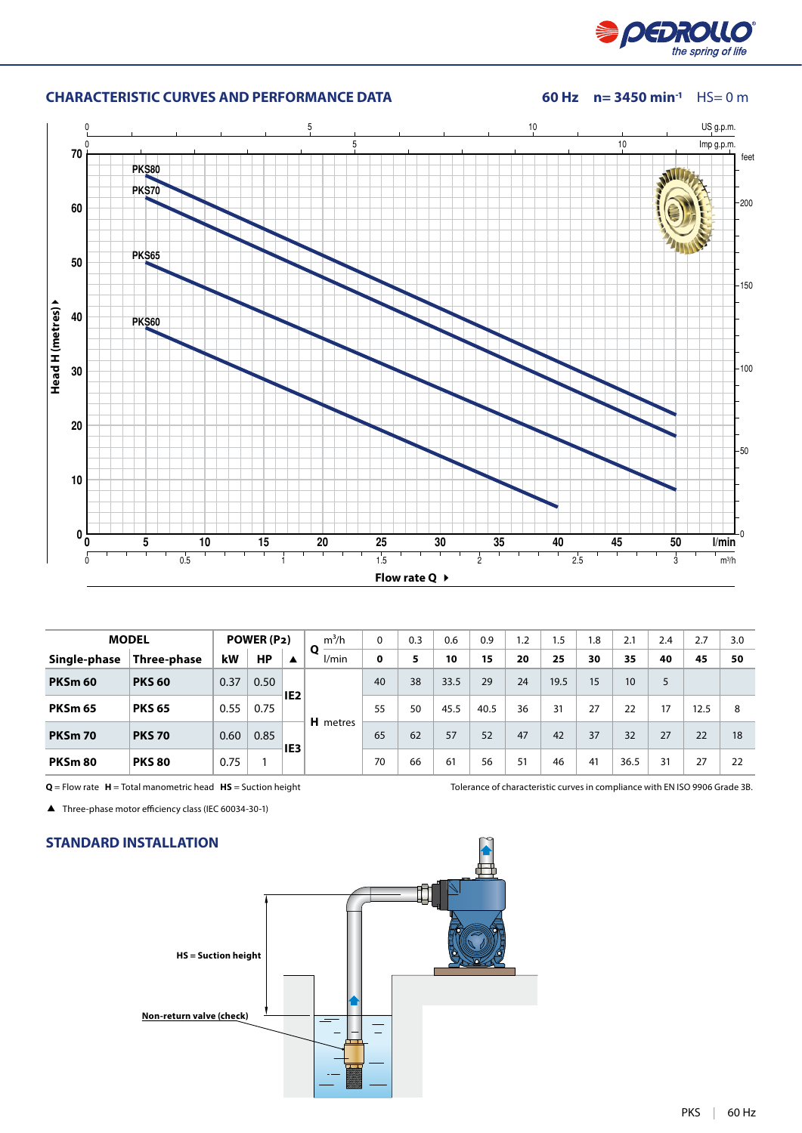

#### **CHARACTERISTIC CURVES AND PERFORMANCE DATA** 60 Hz  $n=$  3450 min<sup>-1</sup> HS= 0 m



|                | <b>MODEL</b>       |      | POWER (P2) |                 | $m^3/h$         | 0  | 0.3 | 0.6  | 0.9  | 1.2 | 1.5  | 1.8 | 2.1  | 2.4 | 2.7  | 3.0 |
|----------------|--------------------|------|------------|-----------------|-----------------|----|-----|------|------|-----|------|-----|------|-----|------|-----|
| Single-phase   | <b>Three-phase</b> | kW   | <b>HP</b>  | ▲               | Ο<br>l/min      | 0  | 5   | 10   | 15   | 20  | 25   | 30  | 35   | 40  | 45   | 50  |
| <b>PKSm 60</b> | <b>PKS 60</b>      | 0.37 | 0.50       |                 |                 | 40 | 38  | 33.5 | 29   | 24  | 19.5 | 15  | 10   | 5   |      |     |
| <b>PKSm 65</b> | <b>PKS 65</b>      | 0.55 | 0.75       | IE <sub>2</sub> |                 | 55 | 50  | 45.5 | 40.5 | 36  | 31   | 27  | 22   | 17  | 12.5 | 8   |
| <b>PKSm 70</b> | <b>PKS 70</b>      | 0.60 | 0.85       |                 | <b>H</b> metres | 65 | 62  | 57   | 52   | 47  | 42   | 37  | 32   | 27  | 22   | 18  |
| PKSm 80        | <b>PKS 80</b>      | 0.75 |            | IE <sub>3</sub> |                 | 70 | 66  | 61   | 56   | 51  | 46   | 41  | 36.5 | 31  | 27   | 22  |

Three-phase motor efficiency class (IEC 60034-30-1)

#### **STANDARD INSTALLATION**



**Q** = Flow rate **H** = Total manometric head **HS** = Suction height Tolerance of characteristic curves in compliance with EN ISO 9906 Grade 3B.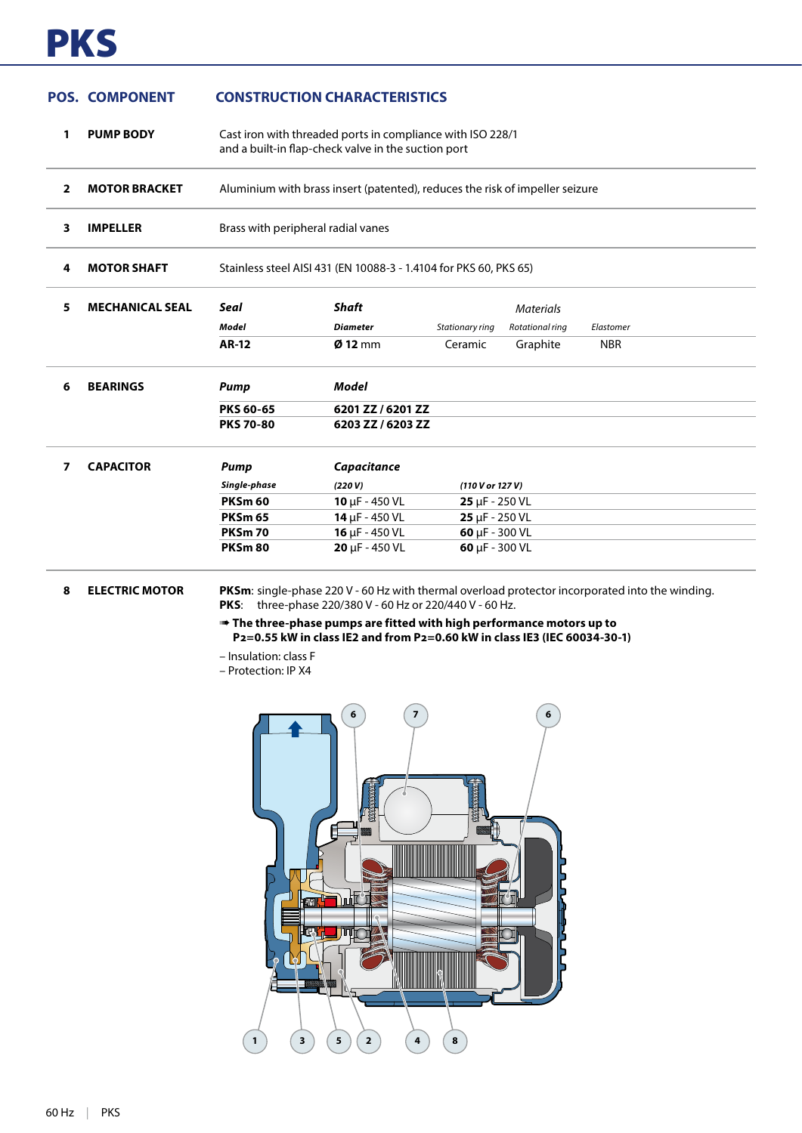# PKS

#### **POS. COMPONENT CONSTRUCTION CHARACTERISTICS**

| 1              | <b>PUMP BODY</b>       | Cast iron with threaded ports in compliance with ISO 228/1<br>and a built-in flap-check valve in the suction port |                             |                             |                  |            |  |  |  |  |
|----------------|------------------------|-------------------------------------------------------------------------------------------------------------------|-----------------------------|-----------------------------|------------------|------------|--|--|--|--|
| $\overline{2}$ | <b>MOTOR BRACKET</b>   | Aluminium with brass insert (patented), reduces the risk of impeller seizure                                      |                             |                             |                  |            |  |  |  |  |
| 3              | <b>IMPELLER</b>        | Brass with peripheral radial vanes                                                                                |                             |                             |                  |            |  |  |  |  |
| 4              | <b>MOTOR SHAFT</b>     | Stainless steel AISI 431 (EN 10088-3 - 1.4104 for PKS 60, PKS 65)                                                 |                             |                             |                  |            |  |  |  |  |
| 5              | <b>MECHANICAL SEAL</b> | Seal                                                                                                              | <b>Shaft</b>                |                             | <b>Materials</b> |            |  |  |  |  |
|                |                        | <b>Model</b>                                                                                                      | <b>Diameter</b>             | Stationary ring             | Rotational ring  | Elastomer  |  |  |  |  |
|                |                        | <b>AR-12</b>                                                                                                      | $Ø$ 12 mm                   | Ceramic                     | Graphite         | <b>NBR</b> |  |  |  |  |
| 6              | <b>BEARINGS</b>        | <b>Pump</b>                                                                                                       | <b>Model</b>                |                             |                  |            |  |  |  |  |
|                |                        | <b>PKS 60-65</b>                                                                                                  | 6201 ZZ / 6201 ZZ           |                             |                  |            |  |  |  |  |
|                |                        | <b>PKS 70-80</b>                                                                                                  | 6203 ZZ / 6203 ZZ           |                             |                  |            |  |  |  |  |
| 7              | <b>CAPACITOR</b>       | <b>Pump</b>                                                                                                       | Capacitance                 |                             |                  |            |  |  |  |  |
|                |                        | Single-phase                                                                                                      | (220 V)                     | (110 V or 127 V)            |                  |            |  |  |  |  |
|                |                        | <b>PKSm 60</b>                                                                                                    | 10 $\mu$ F - 450 VL         | $25 \mu F - 250 \text{ VL}$ |                  |            |  |  |  |  |
|                |                        | <b>PKSm 65</b>                                                                                                    | $14 \mu F - 450 \text{ VL}$ | $25 \mu F - 250 \text{ VL}$ |                  |            |  |  |  |  |
|                |                        | PKSm 70                                                                                                           | $16 \mu F - 450 \text{ VL}$ | 60 $\mu$ F - 300 VL         |                  |            |  |  |  |  |
|                |                        | <b>PKSm 80</b>                                                                                                    | $20 \mu F - 450 \text{ VL}$ | 60 $\mu$ F - 300 VL         |                  |            |  |  |  |  |

**8 ELECTRIC MOTOR PKSm**: single-phase 220 V - 60 Hz with thermal overload protector incorporated into the winding. **PKS**: three-phase 220/380 V - 60 Hz or 220/440 V - 60 Hz.

> ➠ **The three-phase pumps are fitted with high performance motors up to P2=0.55 kW in class IE2 and from P2=0.60 kW in class IE3 (IEC 60034-30-1)**

- Insulation: class F
- Protection: IP X4